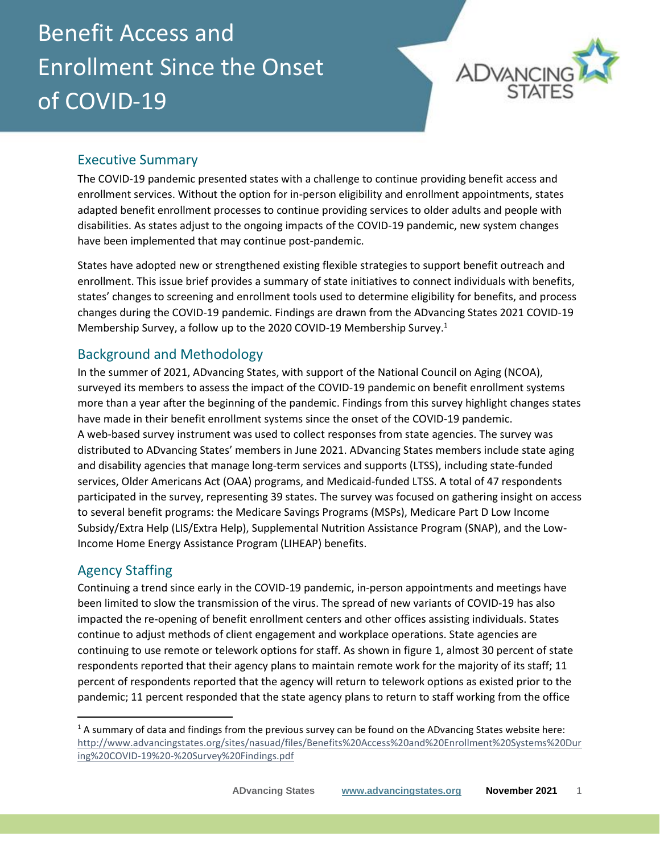# Benefit Access and Enrollment Since the Onset of COVID-19



# Executive Summary

The COVID-19 pandemic presented states with a challenge to continue providing benefit access and enrollment services. Without the option for in-person eligibility and enrollment appointments, states adapted benefit enrollment processes to continue providing services to older adults and people with disabilities. As states adjust to the ongoing impacts of the COVID-19 pandemic, new system changes have been implemented that may continue post-pandemic.

States have adopted new or strengthened existing flexible strategies to support benefit outreach and enrollment. This issue brief provides a summary of state initiatives to connect individuals with benefits, states' changes to screening and enrollment tools used to determine eligibility for benefits, and process changes during the COVID-19 pandemic. Findings are drawn from the ADvancing States 2021 COVID-19 Membership Survey, a follow up to the 2020 COVID-19 Membership Survey.<sup>1</sup>

# Background and Methodology

In the summer of 2021, ADvancing States, with support of the National Council on Aging (NCOA), surveyed its members to assess the impact of the COVID-19 pandemic on benefit enrollment systems more than a year after the beginning of the pandemic. Findings from this survey highlight changes states have made in their benefit enrollment systems since the onset of the COVID-19 pandemic. A web-based survey instrument was used to collect responses from state agencies. The survey was distributed to ADvancing States' members in June 2021. ADvancing States members include state aging and disability agencies that manage long-term services and supports (LTSS), including state-funded services, Older Americans Act (OAA) programs, and Medicaid-funded LTSS. A total of 47 respondents participated in the survey, representing 39 states. The survey was focused on gathering insight on access to several benefit programs: the Medicare Savings Programs (MSPs), Medicare Part D Low Income Subsidy/Extra Help (LIS/Extra Help), Supplemental Nutrition Assistance Program (SNAP), and the Low-Income Home Energy Assistance Program (LIHEAP) benefits.

# Agency Staffing

Continuing a trend since early in the COVID-19 pandemic, in-person appointments and meetings have been limited to slow the transmission of the virus. The spread of new variants of COVID-19 has also impacted the re-opening of benefit enrollment centers and other offices assisting individuals. States continue to adjust methods of client engagement and workplace operations. State agencies are continuing to use remote or telework options for staff. As shown in figure 1, almost 30 percent of state respondents reported that their agency plans to maintain remote work for the majority of its staff; 11 percent of respondents reported that the agency will return to telework options as existed prior to the pandemic; 11 percent responded that the state agency plans to return to staff working from the office

 $1/1$  A summary of data and findings from the previous survey can be found on the ADvancing States website here: [http://www.advancingstates.org/sites/nasuad/files/Benefits%20Access%20and%20Enrollment%20Systems%20Dur](http://www.advancingstates.org/sites/nasuad/files/Benefits%20Access%20and%20Enrollment%20Systems%20During%20COVID-19%20-%20Survey%20Findings.pdf) [ing%20COVID-19%20-%20Survey%20Findings.pdf](http://www.advancingstates.org/sites/nasuad/files/Benefits%20Access%20and%20Enrollment%20Systems%20During%20COVID-19%20-%20Survey%20Findings.pdf)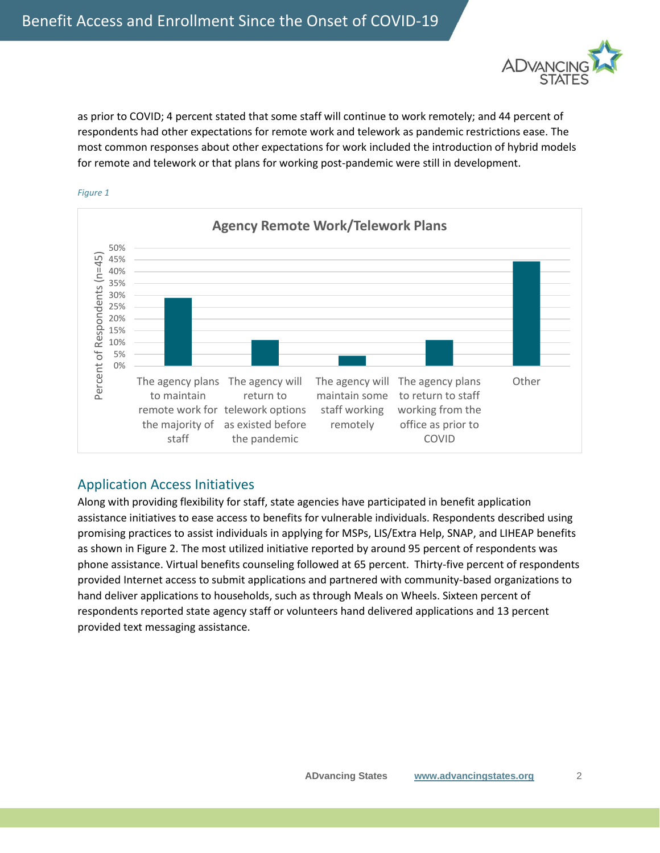

as prior to COVID; 4 percent stated that some staff will continue to work remotely; and 44 percent of respondents had other expectations for remote work and telework as pandemic restrictions ease. The most common responses about other expectations for work included the introduction of hybrid models for remote and telework or that plans for working post-pandemic were still in development.



#### *Figure 1*

#### Application Access Initiatives

Along with providing flexibility for staff, state agencies have participated in benefit application assistance initiatives to ease access to benefits for vulnerable individuals. Respondents described using promising practices to assist individuals in applying for MSPs, LIS/Extra Help, SNAP, and LIHEAP benefits as shown in Figure 2. The most utilized initiative reported by around 95 percent of respondents was phone assistance. Virtual benefits counseling followed at 65 percent. Thirty-five percent of respondents provided Internet access to submit applications and partnered with community-based organizations to hand deliver applications to households, such as through Meals on Wheels. Sixteen percent of respondents reported state agency staff or volunteers hand delivered applications and 13 percent provided text messaging assistance.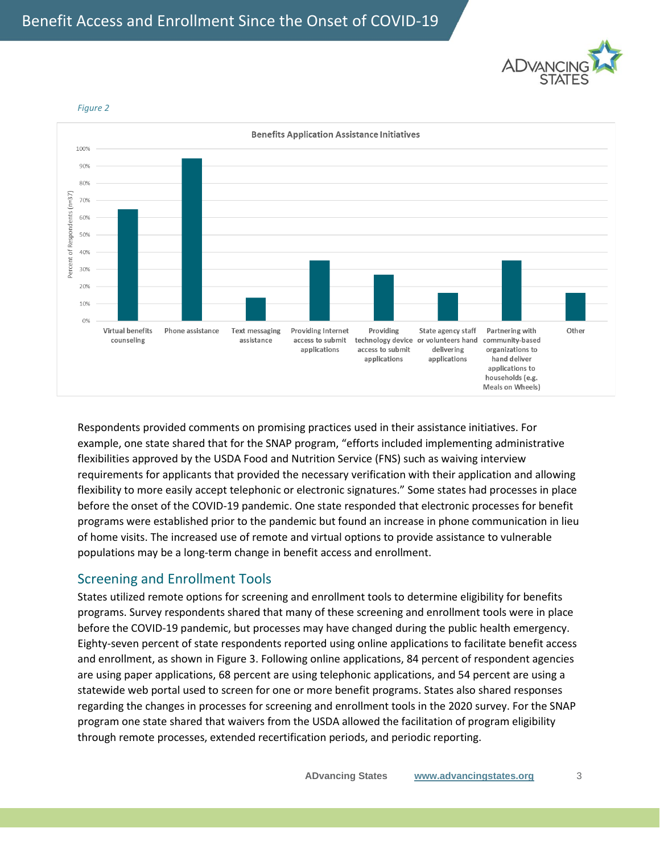



*Figure 2*

Respondents provided comments on promising practices used in their assistance initiatives. For example, one state shared that for the SNAP program, "efforts included implementing administrative flexibilities approved by the USDA Food and Nutrition Service (FNS) such as waiving interview requirements for applicants that provided the necessary verification with their application and allowing flexibility to more easily accept telephonic or electronic signatures." Some states had processes in place before the onset of the COVID-19 pandemic. One state responded that electronic processes for benefit programs were established prior to the pandemic but found an increase in phone communication in lieu of home visits. The increased use of remote and virtual options to provide assistance to vulnerable populations may be a long-term change in benefit access and enrollment.

## Screening and Enrollment Tools

States utilized remote options for screening and enrollment tools to determine eligibility for benefits programs. Survey respondents shared that many of these screening and enrollment tools were in place before the COVID-19 pandemic, but processes may have changed during the public health emergency. Eighty-seven percent of state respondents reported using online applications to facilitate benefit access and enrollment, as shown in Figure 3. Following online applications, 84 percent of respondent agencies are using paper applications, 68 percent are using telephonic applications, and 54 percent are using a statewide web portal used to screen for one or more benefit programs. States also shared responses regarding the changes in processes for screening and enrollment tools in the 2020 survey. For the SNAP program one state shared that waivers from the USDA allowed the facilitation of program eligibility through remote processes, extended recertification periods, and periodic reporting.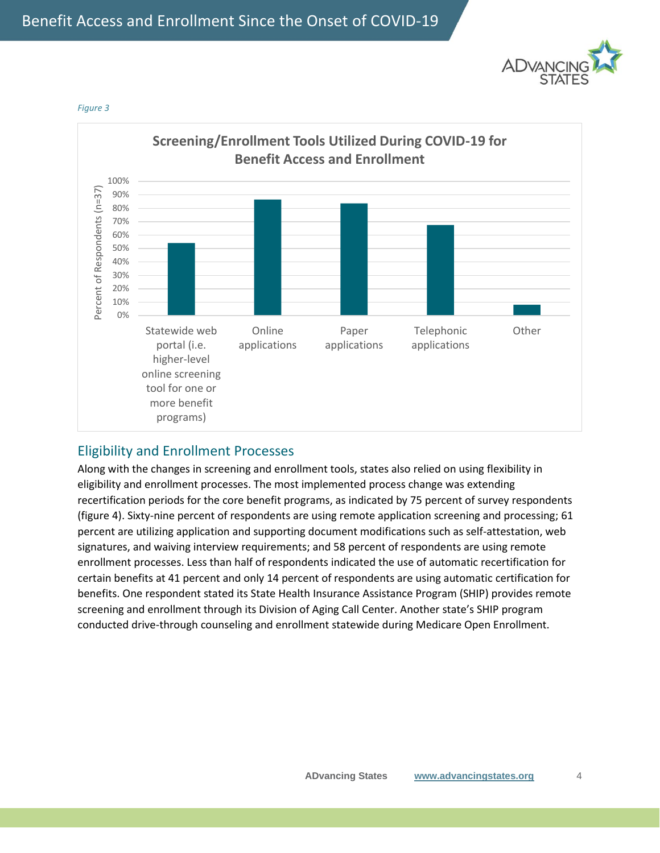



*Figure 3*

#### Eligibility and Enrollment Processes

Along with the changes in screening and enrollment tools, states also relied on using flexibility in eligibility and enrollment processes. The most implemented process change was extending recertification periods for the core benefit programs, as indicated by 75 percent of survey respondents (figure 4). Sixty-nine percent of respondents are using remote application screening and processing; 61 percent are utilizing application and supporting document modifications such as self-attestation, web signatures, and waiving interview requirements; and 58 percent of respondents are using remote enrollment processes. Less than half of respondents indicated the use of automatic recertification for certain benefits at 41 percent and only 14 percent of respondents are using automatic certification for benefits. One respondent stated its State Health Insurance Assistance Program (SHIP) provides remote screening and enrollment through its Division of Aging Call Center. Another state's SHIP program conducted drive-through counseling and enrollment statewide during Medicare Open Enrollment.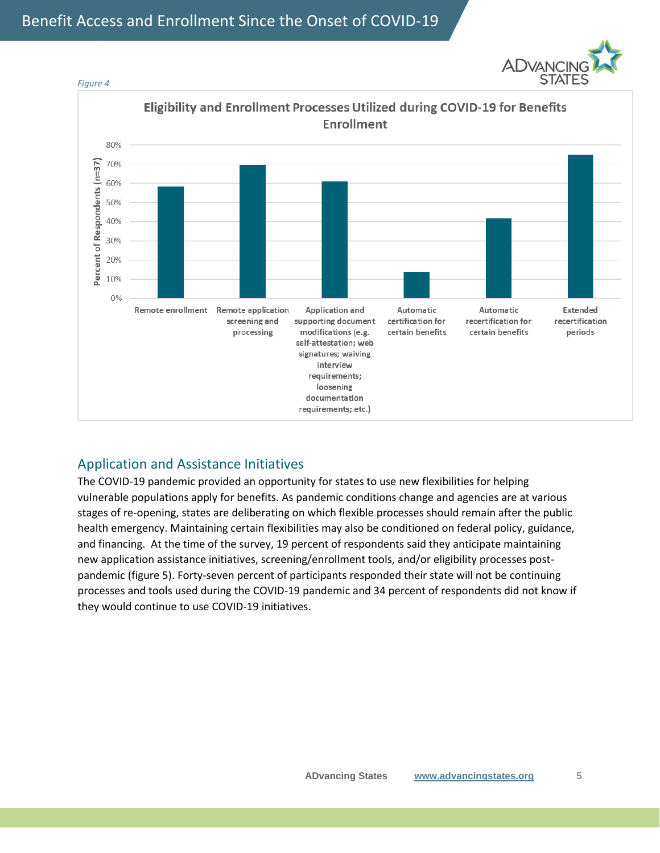



## Application and Assistance Initiatives

The COVID-19 pandemic provided an opportunity for states to use new flexibilities for helping vulnerable populations apply for benefits. As pandemic conditions change and agencies are at various stages of re-opening, states are deliberating on which flexible processes should remain after the public health emergency. Maintaining certain flexibilities may also be conditioned on federal policy, guidance, and financing. At the time of the survey, 19 percent of respondents said they anticipate maintaining new application assistance initiatives, screening/enrollment tools, and/or eligibility processes postpandemic (figure 5). Forty-seven percent of participants responded their state will not be continuing processes and tools used during the COVID-19 pandemic and 34 percent of respondents did not know if they would continue to use COVID-19 initiatives.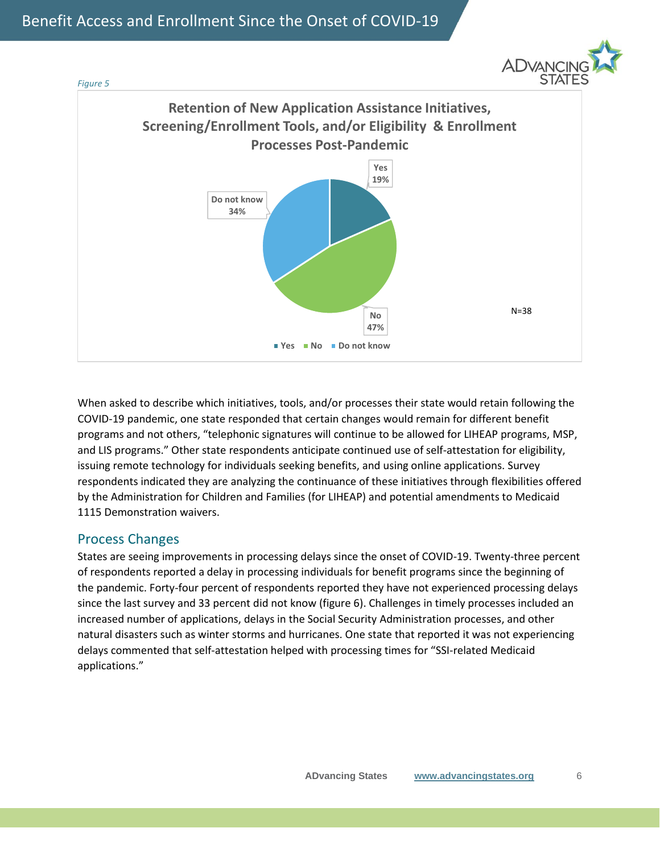



When asked to describe which initiatives, tools, and/or processes their state would retain following the COVID-19 pandemic, one state responded that certain changes would remain for different benefit programs and not others, "telephonic signatures will continue to be allowed for LIHEAP programs, MSP, and LIS programs." Other state respondents anticipate continued use of self-attestation for eligibility, issuing remote technology for individuals seeking benefits, and using online applications. Survey respondents indicated they are analyzing the continuance of these initiatives through flexibilities offered by the Administration for Children and Families (for LIHEAP) and potential amendments to Medicaid 1115 Demonstration waivers.

#### Process Changes

States are seeing improvements in processing delays since the onset of COVID-19. Twenty-three percent of respondents reported a delay in processing individuals for benefit programs since the beginning of the pandemic. Forty-four percent of respondents reported they have not experienced processing delays since the last survey and 33 percent did not know (figure 6). Challenges in timely processes included an increased number of applications, delays in the Social Security Administration processes, and other natural disasters such as winter storms and hurricanes. One state that reported it was not experiencing delays commented that self-attestation helped with processing times for "SSI-related Medicaid applications."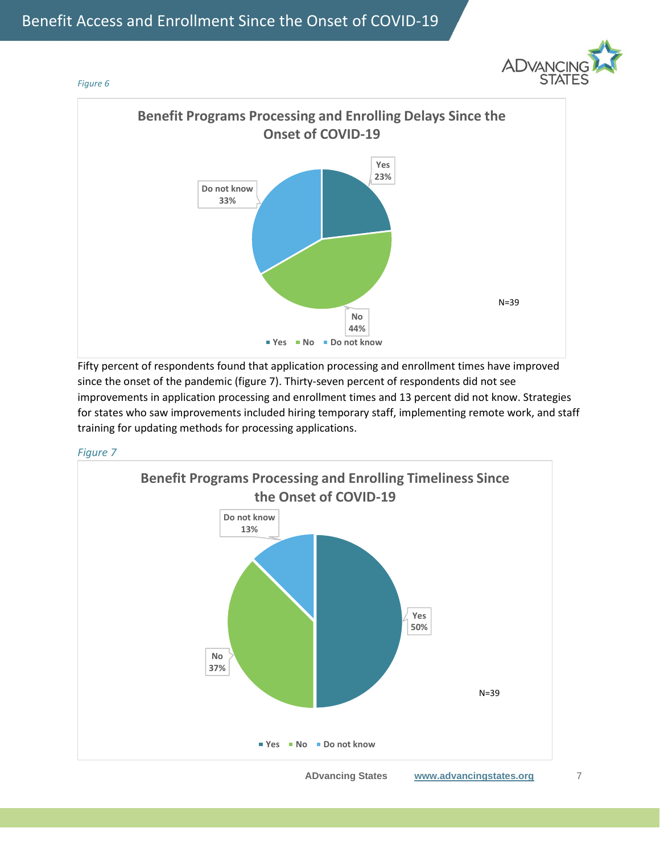







Fifty percent of respondents found that application processing and enrollment times have improved since the onset of the pandemic (figure 7). Thirty-seven percent of respondents did not see improvements in application processing and enrollment times and 13 percent did not know. Strategies for states who saw improvements included hiring temporary staff, implementing remote work, and staff training for updating methods for processing applications.



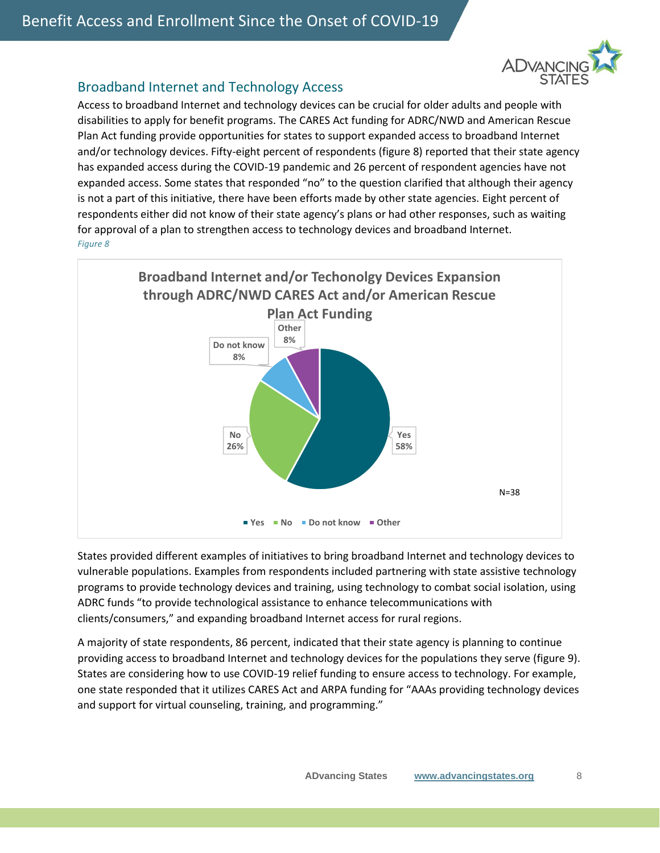

#### Broadband Internet and Technology Access

Access to broadband Internet and technology devices can be crucial for older adults and people with disabilities to apply for benefit programs. The CARES Act funding for ADRC/NWD and American Rescue Plan Act funding provide opportunities for states to support expanded access to broadband Internet and/or technology devices. Fifty-eight percent of respondents (figure 8) reported that their state agency has expanded access during the COVID-19 pandemic and 26 percent of respondent agencies have not expanded access. Some states that responded "no" to the question clarified that although their agency is not a part of this initiative, there have been efforts made by other state agencies. Eight percent of respondents either did not know of their state agency's plans or had other responses, such as waiting for approval of a plan to strengthen access to technology devices and broadband Internet. *Figure 8*



States provided different examples of initiatives to bring broadband Internet and technology devices to vulnerable populations. Examples from respondents included partnering with state assistive technology programs to provide technology devices and training, using technology to combat social isolation, using ADRC funds "to provide technological assistance to enhance telecommunications with clients/consumers," and expanding broadband Internet access for rural regions.

A majority of state respondents, 86 percent, indicated that their state agency is planning to continue providing access to broadband Internet and technology devices for the populations they serve (figure 9). States are considering how to use COVID-19 relief funding to ensure access to technology. For example, one state responded that it utilizes CARES Act and ARPA funding for "AAAs providing technology devices and support for virtual counseling, training, and programming."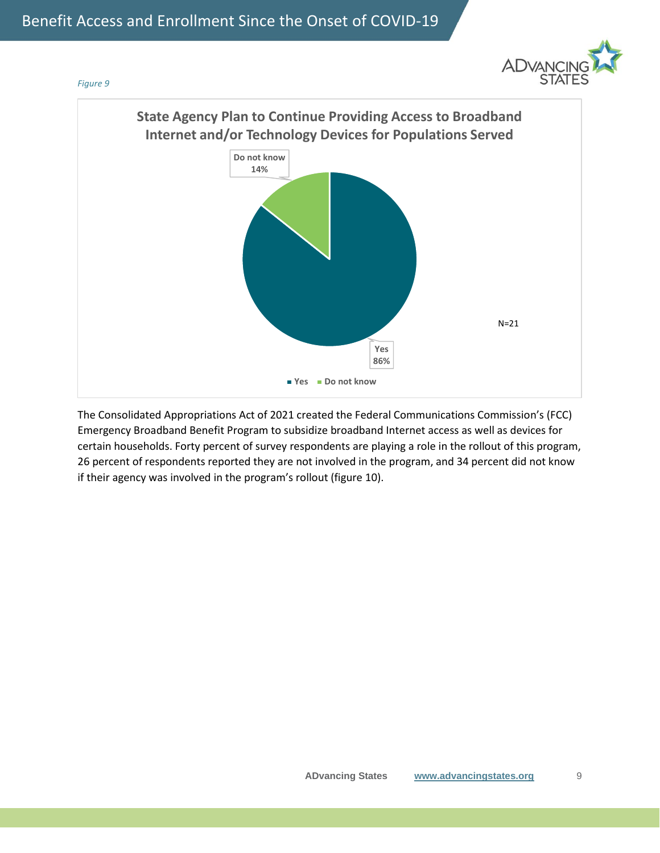



The Consolidated Appropriations Act of 2021 created the Federal Communications Commission's (FCC) Emergency Broadband Benefit Program to subsidize broadband Internet access as well as devices for certain households. Forty percent of survey respondents are playing a role in the rollout of this program, 26 percent of respondents reported they are not involved in the program, and 34 percent did not know if their agency was involved in the program's rollout (figure 10).

*Figure 9*